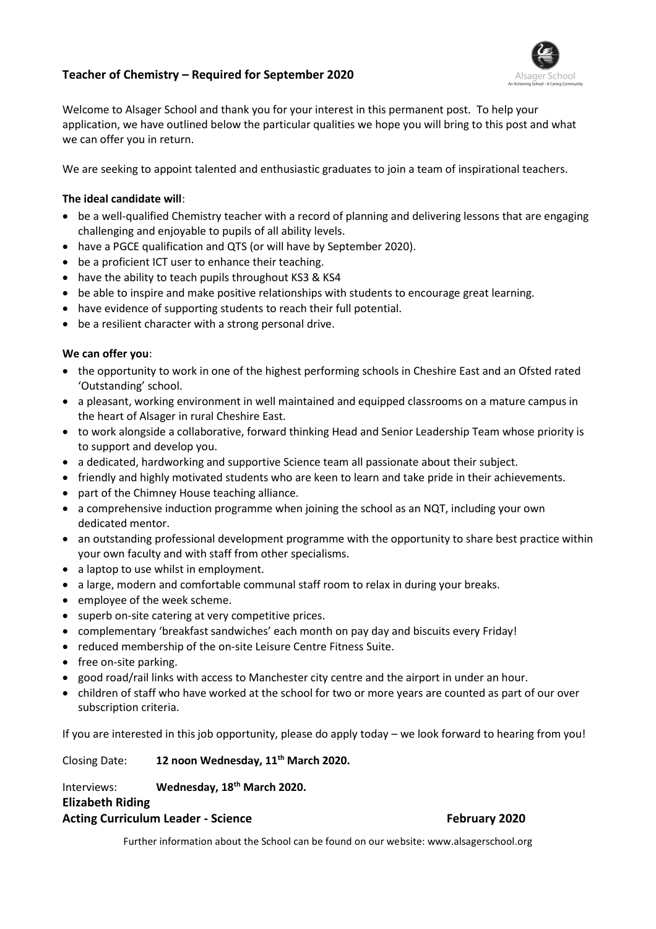# **Teacher of Chemistry – Required for September 2020**



Welcome to Alsager School and thank you for your interest in this permanent post. To help your application, we have outlined below the particular qualities we hope you will bring to this post and what we can offer you in return.

We are seeking to appoint talented and enthusiastic graduates to join a team of inspirational teachers.

## **The ideal candidate will**:

- be a well-qualified Chemistry teacher with a record of planning and delivering lessons that are engaging challenging and enjoyable to pupils of all ability levels.
- have a PGCE qualification and QTS (or will have by September 2020).
- be a proficient ICT user to enhance their teaching.
- have the ability to teach pupils throughout KS3 & KS4
- be able to inspire and make positive relationships with students to encourage great learning.
- have evidence of supporting students to reach their full potential.
- be a resilient character with a strong personal drive.

## **We can offer you**:

- the opportunity to work in one of the highest performing schools in Cheshire East and an Ofsted rated 'Outstanding' school.
- a pleasant, working environment in well maintained and equipped classrooms on a mature campus in the heart of Alsager in rural Cheshire East.
- to work alongside a collaborative, forward thinking Head and Senior Leadership Team whose priority is to support and develop you.
- a dedicated, hardworking and supportive Science team all passionate about their subject.
- friendly and highly motivated students who are keen to learn and take pride in their achievements.
- part of the Chimney House teaching alliance.
- a comprehensive induction programme when joining the school as an NQT, including your own dedicated mentor.
- an outstanding professional development programme with the opportunity to share best practice within your own faculty and with staff from other specialisms.
- a laptop to use whilst in employment.
- a large, modern and comfortable communal staff room to relax in during your breaks.
- employee of the week scheme.
- superb on-site catering at very competitive prices.
- complementary 'breakfast sandwiches' each month on pay day and biscuits every Friday!
- reduced membership of the on-site Leisure Centre Fitness Suite.
- free on-site parking.
- good road/rail links with access to Manchester city centre and the airport in under an hour.
- children of staff who have worked at the school for two or more years are counted as part of our over subscription criteria.

If you are interested in this job opportunity, please do apply today – we look forward to hearing from you!

Closing Date: **12 noon Wednesday, 11th March 2020.**

# Interviews: **Wednesday, 18th March 2020.**

## **Elizabeth Riding**

## Acting Curriculum Leader - Science **February 2020**

Further information about the School can be found on our website: www.alsagerschool.org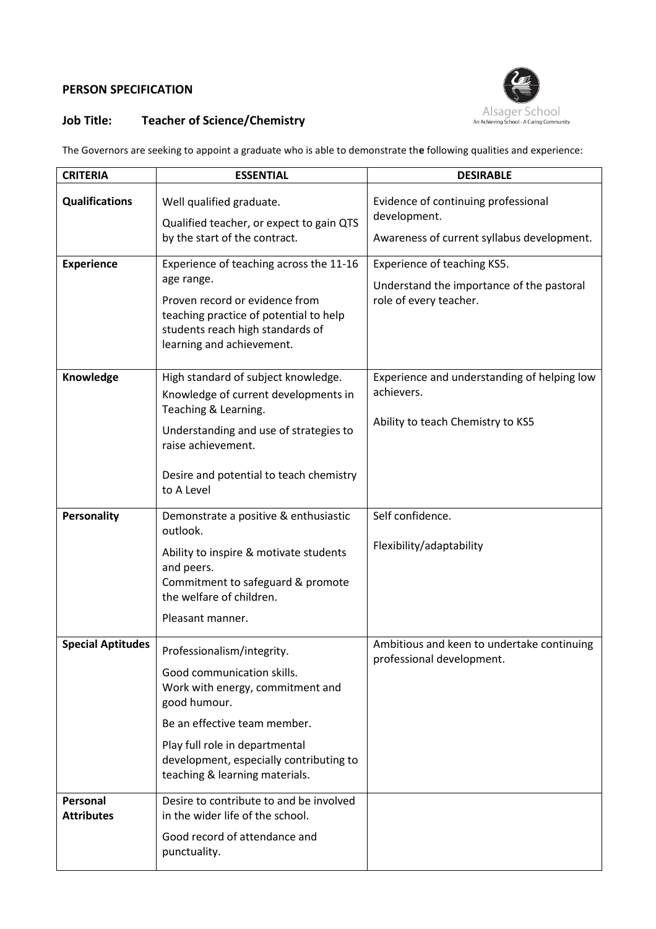# **PERSON SPECIFICATION**



# **Job Title: Teacher of Science/Chemistry**

The Governors are seeking to appoint a graduate who is able to demonstrate th**e** following qualities and experience:

| <b>CRITERIA</b>               | <b>ESSENTIAL</b>                                                                                                                                                                                                                                            | <b>DESIRABLE</b>                                                                                   |
|-------------------------------|-------------------------------------------------------------------------------------------------------------------------------------------------------------------------------------------------------------------------------------------------------------|----------------------------------------------------------------------------------------------------|
| <b>Qualifications</b>         | Well qualified graduate.<br>Qualified teacher, or expect to gain QTS                                                                                                                                                                                        | Evidence of continuing professional<br>development.                                                |
|                               | by the start of the contract.                                                                                                                                                                                                                               | Awareness of current syllabus development.                                                         |
| <b>Experience</b>             | Experience of teaching across the 11-16<br>age range.<br>Proven record or evidence from<br>teaching practice of potential to help<br>students reach high standards of<br>learning and achievement.                                                          | Experience of teaching KS5.<br>Understand the importance of the pastoral<br>role of every teacher. |
| Knowledge                     | High standard of subject knowledge.<br>Knowledge of current developments in<br>Teaching & Learning.<br>Understanding and use of strategies to<br>raise achievement.<br>Desire and potential to teach chemistry<br>to A Level                                | Experience and understanding of helping low<br>achievers.<br>Ability to teach Chemistry to KS5     |
| <b>Personality</b>            | Demonstrate a positive & enthusiastic<br>outlook.<br>Ability to inspire & motivate students<br>and peers.<br>Commitment to safeguard & promote<br>the welfare of children.<br>Pleasant manner.                                                              | Self confidence.<br>Flexibility/adaptability                                                       |
| <b>Special Aptitudes</b>      | Professionalism/integrity.<br>Good communication skills.<br>Work with energy, commitment and<br>good humour.<br>Be an effective team member.<br>Play full role in departmental<br>development, especially contributing to<br>teaching & learning materials. | Ambitious and keen to undertake continuing<br>professional development.                            |
| Personal<br><b>Attributes</b> | Desire to contribute to and be involved<br>in the wider life of the school.<br>Good record of attendance and<br>punctuality.                                                                                                                                |                                                                                                    |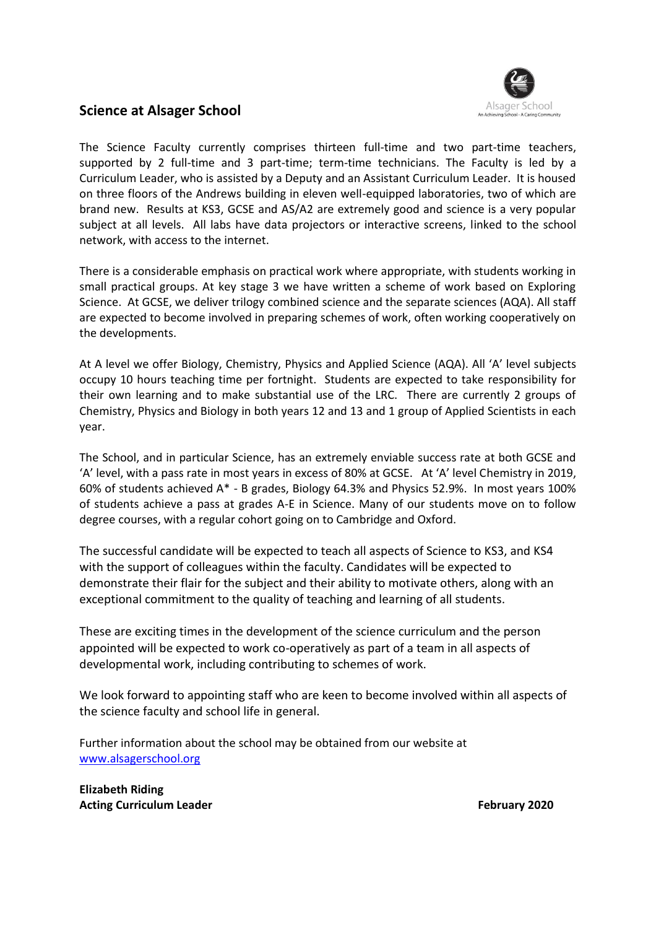

# **Science at Alsager School**

The Science Faculty currently comprises thirteen full-time and two part-time teachers, supported by 2 full-time and 3 part-time; term-time technicians. The Faculty is led by a Curriculum Leader, who is assisted by a Deputy and an Assistant Curriculum Leader. It is housed on three floors of the Andrews building in eleven well-equipped laboratories, two of which are brand new. Results at KS3, GCSE and AS/A2 are extremely good and science is a very popular subject at all levels. All labs have data projectors or interactive screens, linked to the school network, with access to the internet.

There is a considerable emphasis on practical work where appropriate, with students working in small practical groups. At key stage 3 we have written a scheme of work based on Exploring Science. At GCSE, we deliver trilogy combined science and the separate sciences (AQA). All staff are expected to become involved in preparing schemes of work, often working cooperatively on the developments.

At A level we offer Biology, Chemistry, Physics and Applied Science (AQA). All 'A' level subjects occupy 10 hours teaching time per fortnight. Students are expected to take responsibility for their own learning and to make substantial use of the LRC. There are currently 2 groups of Chemistry, Physics and Biology in both years 12 and 13 and 1 group of Applied Scientists in each year.

The School, and in particular Science, has an extremely enviable success rate at both GCSE and 'A' level, with a pass rate in most years in excess of 80% at GCSE. At 'A' level Chemistry in 2019, 60% of students achieved A\* - B grades, Biology 64.3% and Physics 52.9%. In most years 100% of students achieve a pass at grades A-E in Science. Many of our students move on to follow degree courses, with a regular cohort going on to Cambridge and Oxford.

The successful candidate will be expected to teach all aspects of Science to KS3, and KS4 with the support of colleagues within the faculty. Candidates will be expected to demonstrate their flair for the subject and their ability to motivate others, along with an exceptional commitment to the quality of teaching and learning of all students.

These are exciting times in the development of the science curriculum and the person appointed will be expected to work co-operatively as part of a team in all aspects of developmental work, including contributing to schemes of work.

We look forward to appointing staff who are keen to become involved within all aspects of the science faculty and school life in general.

Further information about the school may be obtained from our website at [www.alsagerschool.org](http://www.alsagerschool.org/)

**Elizabeth Riding Acting Curriculum Leader February 2020**